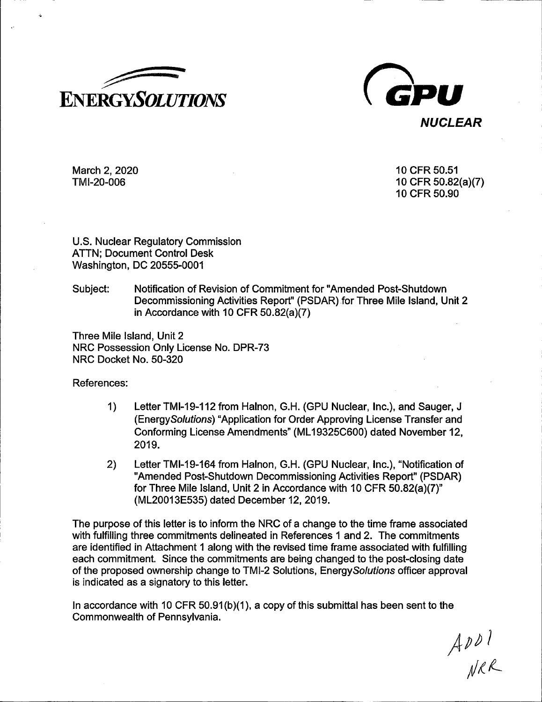



March 2, 2020 TMl-20-006

10 CFR 50.51 10 CFR 50.82(a)(7) 10 CFR 50.90

U.S. Nuclear Regulatory Commission ATTN; Document Control Desk Washington, DC 20555-0001

Subject: Notification of Revision of Commitment for "Amended Post-Shutdown Decommissioning Activities Report" (PSDAR) for Three Mile Island, Unit 2 in Accordance with 10 CFR 50.82(a)(7)

Three Mile Island, Unit 2 NRC Possession Only License No. DPR-73 NRC Docket No. 50-320

References:

- 1) LetterTMl-19-112 from Halnon, G.H. (GPU Nuclear, Inc.), and Sauger, J (EnergySolutions) "Application for Order Approving License Transfer and Conforming License Amendments" (ML 19325C600) dated November 12, 2019.
- 2) Letter TMl-19-164 from Halnon, G.H. (GPU Nuclear, Inc.), "Notification of "Amended Post-Shutdown Decommissioning Activities Report" (PSDAR) for Three Mile Island, Unit 2 in Accordance with 10 CFR 50.82(a)(7)" (ML20013E535) dated December 12, 2019.

The purpose of this letter is to inform the NRC of a change to the time frame associated with fulfilling three commitments delineated in References 1 and 2. The commitments are identified in Attachment 1 along with the revised time frame associated with fulfilling each commitment. Since the commitments are being changed to the post-closing date of the proposed ownership change to TMI-2 Solutions, Energy Solutions officer approval is indicated as a signatory to this letter.

In accordance with 10 CFR  $50.91(b)(1)$ , a copy of this submittal has been sent to the Commonwealth of Pennsylvania.

 $ADD1$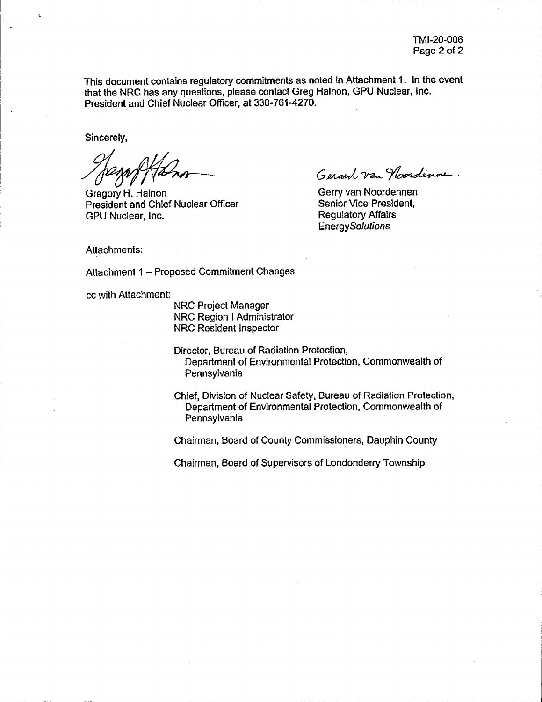This document contains regulatory commitments as noted in Attachment 1. In the event that the NRC has any questions, please contact Greg Halnon, GPU Nuclear, Inc. President and Chief Nuclear Officer, at 330-761-4270.

Sincerely,

 $\mathbf{A}$ 

Gregory H. Halnon President and Chief Nuclear Officer GPU Nuclear, Inc.

Gerard van Noordenne

Gerry van Noordennen Senior Vice President, Regulatory Affairs **Energy Solutions** 

Attachments:

Attachment 1 - Proposed Commitment Changes

cc with Attachment:

NRC Project Manager NRC Region I Administrator NRC Resident Inspector

Director, Bureau of Radiation Protection, Department of Environmental Protection, Commonwealth of Pennsylvania

Chief, Division of Nuclear Safety, Bureau of Radiation Protection, Department of Environmental Protection, Commonwealth of Pennsylvania

Chairman, Board of County Commissioners, Dauphin County

Chairman, Board of Supervisors of Londondeny Township